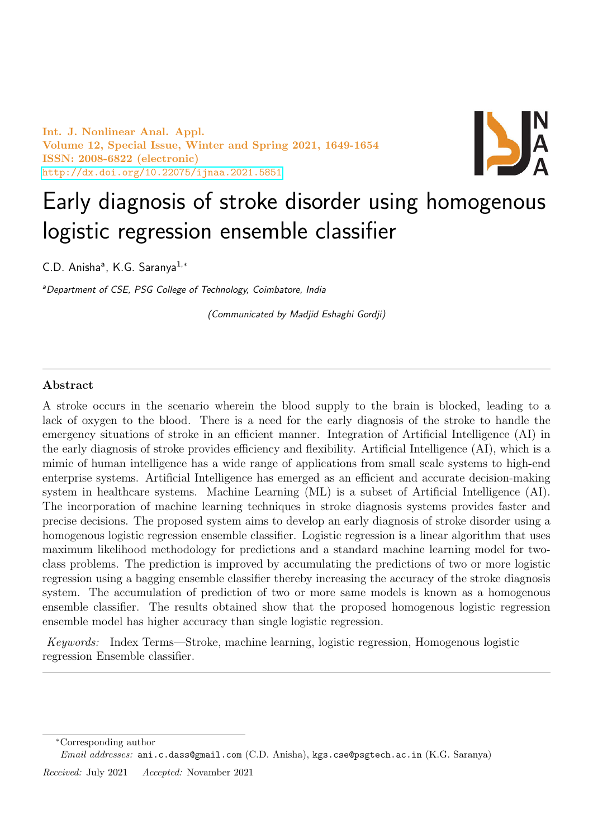Int. J. Nonlinear Anal. Appl. Volume 12, Special Issue, Winter and Spring 2021, 1649-1654 ISSN: 2008-6822 (electronic) <http://dx.doi.org/10.22075/ijnaa.2021.5851>



# Early diagnosis of stroke disorder using homogenous logistic regression ensemble classifier

C.D. Anisha<sup>a</sup>, K.G. Saranya<sup>1,\*</sup>

<sup>a</sup>Department of CSE, PSG College of Technology, Coimbatore, India

(Communicated by Madjid Eshaghi Gordji)

## Abstract

A stroke occurs in the scenario wherein the blood supply to the brain is blocked, leading to a lack of oxygen to the blood. There is a need for the early diagnosis of the stroke to handle the emergency situations of stroke in an efficient manner. Integration of Artificial Intelligence (AI) in the early diagnosis of stroke provides efficiency and flexibility. Artificial Intelligence (AI), which is a mimic of human intelligence has a wide range of applications from small scale systems to high-end enterprise systems. Artificial Intelligence has emerged as an efficient and accurate decision-making system in healthcare systems. Machine Learning (ML) is a subset of Artificial Intelligence (AI). The incorporation of machine learning techniques in stroke diagnosis systems provides faster and precise decisions. The proposed system aims to develop an early diagnosis of stroke disorder using a homogenous logistic regression ensemble classifier. Logistic regression is a linear algorithm that uses maximum likelihood methodology for predictions and a standard machine learning model for twoclass problems. The prediction is improved by accumulating the predictions of two or more logistic regression using a bagging ensemble classifier thereby increasing the accuracy of the stroke diagnosis system. The accumulation of prediction of two or more same models is known as a homogenous ensemble classifier. The results obtained show that the proposed homogenous logistic regression ensemble model has higher accuracy than single logistic regression.

Keywords: Index Terms—Stroke, machine learning, logistic regression, Homogenous logistic regression Ensemble classifier.

Received: July 2021 Accepted: Novamber 2021

<sup>∗</sup>Corresponding author

Email addresses: ani.c.dass@gmail.com (C.D. Anisha), kgs.cse@psgtech.ac.in (K.G. Saranya)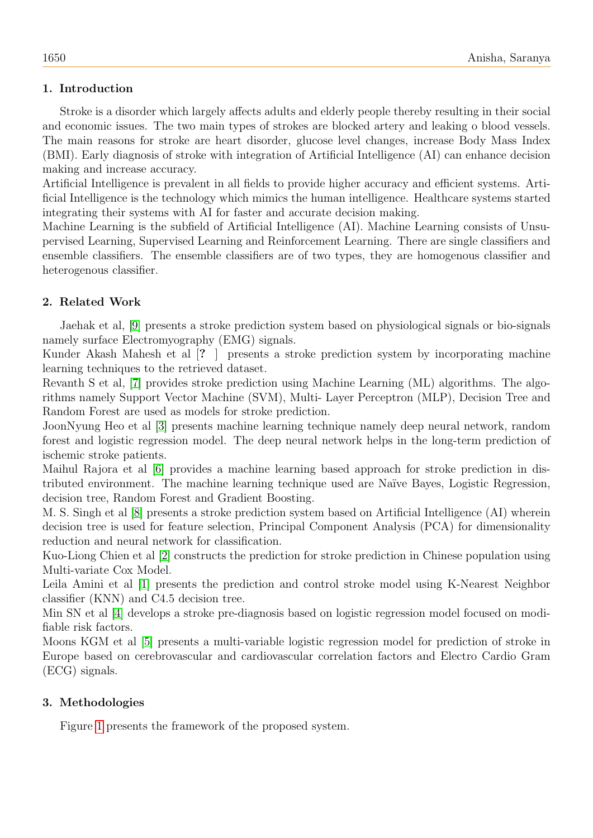## 1. Introduction

Stroke is a disorder which largely affects adults and elderly people thereby resulting in their social and economic issues. The two main types of strokes are blocked artery and leaking o blood vessels. The main reasons for stroke are heart disorder, glucose level changes, increase Body Mass Index (BMI). Early diagnosis of stroke with integration of Artificial Intelligence (AI) can enhance decision making and increase accuracy.

Artificial Intelligence is prevalent in all fields to provide higher accuracy and efficient systems. Artificial Intelligence is the technology which mimics the human intelligence. Healthcare systems started integrating their systems with AI for faster and accurate decision making.

Machine Learning is the subfield of Artificial Intelligence (AI). Machine Learning consists of Unsupervised Learning, Supervised Learning and Reinforcement Learning. There are single classifiers and ensemble classifiers. The ensemble classifiers are of two types, they are homogenous classifier and heterogenous classifier.

## 2. Related Work

Jaehak et al, [\[9\]](#page-5-0) presents a stroke prediction system based on physiological signals or bio-signals namely surface Electromyography (EMG) signals.

Kunder Akash Mahesh et al [? ] presents a stroke prediction system by incorporating machine learning techniques to the retrieved dataset.

Revanth S et al, [\[7\]](#page-5-1) provides stroke prediction using Machine Learning (ML) algorithms. The algorithms namely Support Vector Machine (SVM), Multi- Layer Perceptron (MLP), Decision Tree and Random Forest are used as models for stroke prediction.

JoonNyung Heo et al [\[3\]](#page-5-2) presents machine learning technique namely deep neural network, random forest and logistic regression model. The deep neural network helps in the long-term prediction of ischemic stroke patients.

Maihul Rajora et al [\[6\]](#page-5-3) provides a machine learning based approach for stroke prediction in distributed environment. The machine learning technique used are Naïve Bayes, Logistic Regression, decision tree, Random Forest and Gradient Boosting.

M. S. Singh et al [\[8\]](#page-5-4) presents a stroke prediction system based on Artificial Intelligence (AI) wherein decision tree is used for feature selection, Principal Component Analysis (PCA) for dimensionality reduction and neural network for classification.

Kuo-Liong Chien et al [\[2\]](#page-5-5) constructs the prediction for stroke prediction in Chinese population using Multi-variate Cox Model.

Leila Amini et al [\[1\]](#page-5-6) presents the prediction and control stroke model using K-Nearest Neighbor classifier (KNN) and C4.5 decision tree.

Min SN et al [\[4\]](#page-5-7) develops a stroke pre-diagnosis based on logistic regression model focused on modifiable risk factors.

Moons KGM et al [\[5\]](#page-5-8) presents a multi-variable logistic regression model for prediction of stroke in Europe based on cerebrovascular and cardiovascular correlation factors and Electro Cardio Gram (ECG) signals.

#### 3. Methodologies

Figure [1](#page-2-0) presents the framework of the proposed system.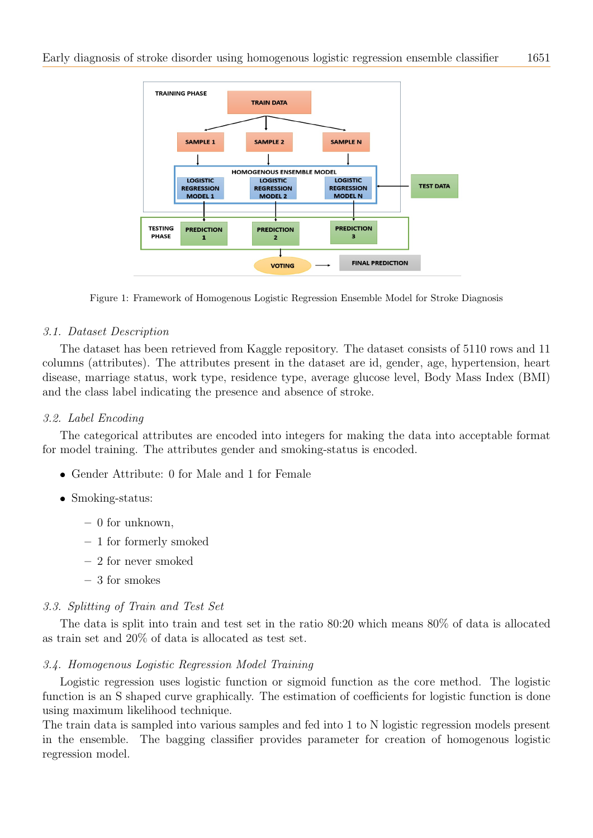

<span id="page-2-0"></span>Figure 1: Framework of Homogenous Logistic Regression Ensemble Model for Stroke Diagnosis

## 3.1. Dataset Description

The dataset has been retrieved from Kaggle repository. The dataset consists of 5110 rows and 11 columns (attributes). The attributes present in the dataset are id, gender, age, hypertension, heart disease, marriage status, work type, residence type, average glucose level, Body Mass Index (BMI) and the class label indicating the presence and absence of stroke.

## 3.2. Label Encoding

The categorical attributes are encoded into integers for making the data into acceptable format for model training. The attributes gender and smoking-status is encoded.

- Gender Attribute: 0 for Male and 1 for Female
- Smoking-status:
	- $-0$  for unknown.
	- 1 for formerly smoked
	- 2 for never smoked
	- 3 for smokes

#### 3.3. Splitting of Train and Test Set

The data is split into train and test set in the ratio 80:20 which means 80% of data is allocated as train set and 20% of data is allocated as test set.

#### 3.4. Homogenous Logistic Regression Model Training

Logistic regression uses logistic function or sigmoid function as the core method. The logistic function is an S shaped curve graphically. The estimation of coefficients for logistic function is done using maximum likelihood technique.

The train data is sampled into various samples and fed into 1 to N logistic regression models present in the ensemble. The bagging classifier provides parameter for creation of homogenous logistic regression model.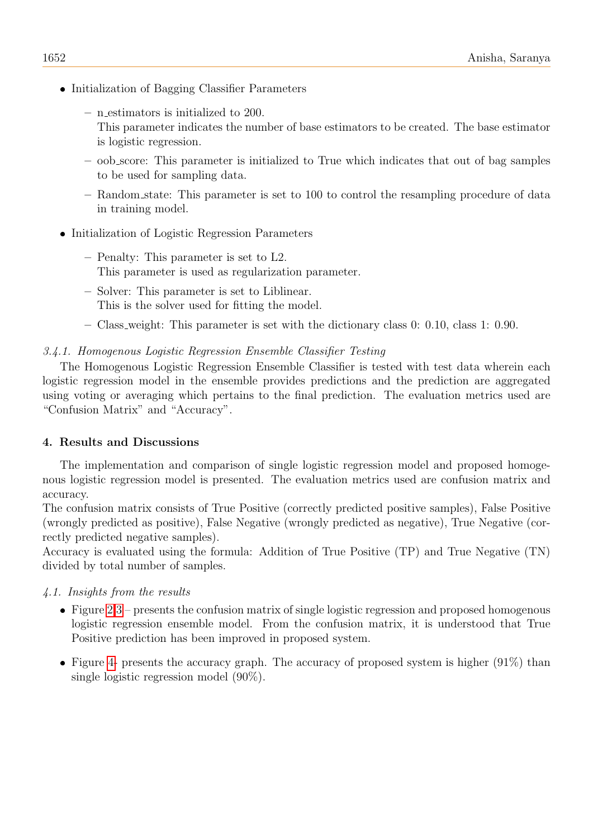- Initialization of Bagging Classifier Parameters
	- n estimators is initialized to 200. This parameter indicates the number of base estimators to be created. The base estimator is logistic regression.
	- oob score: This parameter is initialized to True which indicates that out of bag samples to be used for sampling data.
	- Random state: This parameter is set to 100 to control the resampling procedure of data in training model.
- Initialization of Logistic Regression Parameters
	- Penalty: This parameter is set to L2. This parameter is used as regularization parameter.
	- Solver: This parameter is set to Liblinear. This is the solver used for fitting the model.
	- Class weight: This parameter is set with the dictionary class 0: 0.10, class 1: 0.90.

## 3.4.1. Homogenous Logistic Regression Ensemble Classifier Testing

The Homogenous Logistic Regression Ensemble Classifier is tested with test data wherein each logistic regression model in the ensemble provides predictions and the prediction are aggregated using voting or averaging which pertains to the final prediction. The evaluation metrics used are "Confusion Matrix" and "Accuracy".

#### 4. Results and Discussions

The implementation and comparison of single logistic regression model and proposed homogenous logistic regression model is presented. The evaluation metrics used are confusion matrix and accuracy.

The confusion matrix consists of True Positive (correctly predicted positive samples), False Positive (wrongly predicted as positive), False Negative (wrongly predicted as negative), True Negative (correctly predicted negative samples).

Accuracy is evaluated using the formula: Addition of True Positive (TP) and True Negative (TN) divided by total number of samples.

## 4.1. Insights from the results

- Figure  $2,3$  $2,3$  presents the confusion matrix of single logistic regression and proposed homogenous logistic regression ensemble model. From the confusion matrix, it is understood that True Positive prediction has been improved in proposed system.
- Figure [4-](#page-4-2) presents the accuracy graph. The accuracy of proposed system is higher (91%) than single logistic regression model (90%).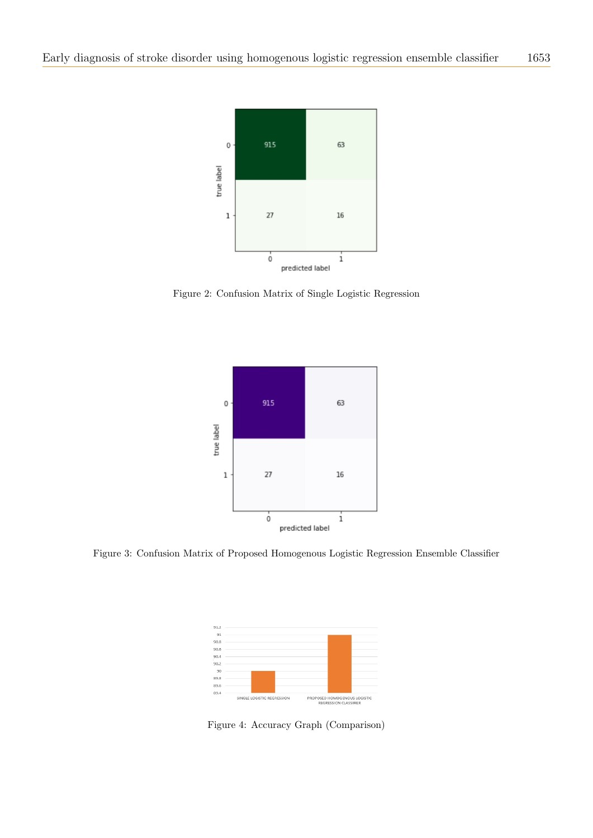

<span id="page-4-0"></span>Figure 2: Confusion Matrix of Single Logistic Regression



<span id="page-4-1"></span>Figure 3: Confusion Matrix of Proposed Homogenous Logistic Regression Ensemble Classifier



<span id="page-4-2"></span>Figure 4: Accuracy Graph (Comparison)